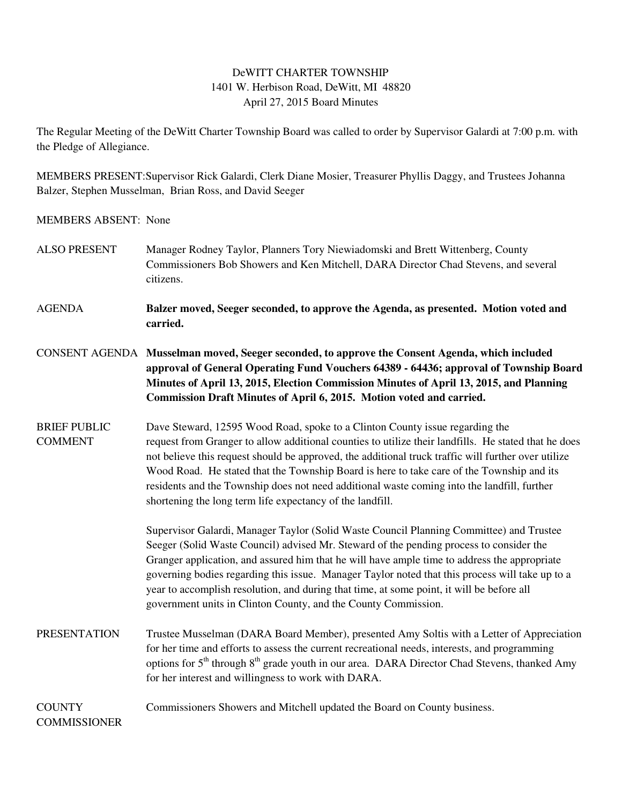## DeWITT CHARTER TOWNSHIP 1401 W. Herbison Road, DeWitt, MI 48820 April 27, 2015 Board Minutes

The Regular Meeting of the DeWitt Charter Township Board was called to order by Supervisor Galardi at 7:00 p.m. with the Pledge of Allegiance.

MEMBERS PRESENT:Supervisor Rick Galardi, Clerk Diane Mosier, Treasurer Phyllis Daggy, and Trustees Johanna Balzer, Stephen Musselman, Brian Ross, and David Seeger

MEMBERS ABSENT: None

- ALSO PRESENT Manager Rodney Taylor, Planners Tory Niewiadomski and Brett Wittenberg, County Commissioners Bob Showers and Ken Mitchell, DARA Director Chad Stevens, and several citizens.
- AGENDA **Balzer moved, Seeger seconded, to approve the Agenda, as presented. Motion voted and carried.**
- CONSENT AGENDA **Musselman moved, Seeger seconded, to approve the Consent Agenda, which included approval of General Operating Fund Vouchers 64389 - 64436; approval of Township Board Minutes of April 13, 2015, Election Commission Minutes of April 13, 2015, and Planning Commission Draft Minutes of April 6, 2015. Motion voted and carried.**
- BRIEF PUBLIC Dave Steward, 12595 Wood Road, spoke to a Clinton County issue regarding the COMMENT request from Granger to allow additional counties to utilize their landfills. He stated that he does not believe this request should be approved, the additional truck traffic will further over utilize Wood Road. He stated that the Township Board is here to take care of the Township and its residents and the Township does not need additional waste coming into the landfill, further shortening the long term life expectancy of the landfill.

 Supervisor Galardi, Manager Taylor (Solid Waste Council Planning Committee) and Trustee Seeger (Solid Waste Council) advised Mr. Steward of the pending process to consider the Granger application, and assured him that he will have ample time to address the appropriate governing bodies regarding this issue. Manager Taylor noted that this process will take up to a year to accomplish resolution, and during that time, at some point, it will be before all government units in Clinton County, and the County Commission.

PRESENTATION Trustee Musselman (DARA Board Member), presented Amy Soltis with a Letter of Appreciation for her time and efforts to assess the current recreational needs, interests, and programming options for  $5<sup>th</sup>$  through  $8<sup>th</sup>$  grade youth in our area. DARA Director Chad Stevens, thanked Amy for her interest and willingness to work with DARA.

COUNTY Commissioners Showers and Mitchell updated the Board on County business.

## **COMMISSIONER**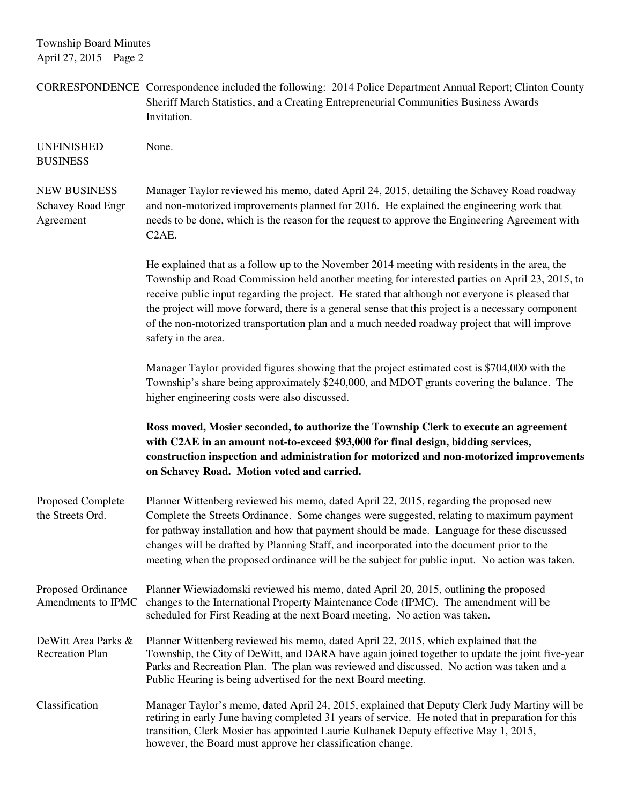Township Board Minutes April 27, 2015 Page 2

|                                                       | CORRESPONDENCE Correspondence included the following: 2014 Police Department Annual Report; Clinton County<br>Sheriff March Statistics, and a Creating Entrepreneurial Communities Business Awards<br>Invitation.                                                                                                                                                                                                                                                                                                                |
|-------------------------------------------------------|----------------------------------------------------------------------------------------------------------------------------------------------------------------------------------------------------------------------------------------------------------------------------------------------------------------------------------------------------------------------------------------------------------------------------------------------------------------------------------------------------------------------------------|
| <b>UNFINISHED</b><br><b>BUSINESS</b>                  | None.                                                                                                                                                                                                                                                                                                                                                                                                                                                                                                                            |
| <b>NEW BUSINESS</b><br>Schavey Road Engr<br>Agreement | Manager Taylor reviewed his memo, dated April 24, 2015, detailing the Schavey Road roadway<br>and non-motorized improvements planned for 2016. He explained the engineering work that<br>needs to be done, which is the reason for the request to approve the Engineering Agreement with<br>C <sub>2</sub> A <sub>E</sub> .                                                                                                                                                                                                      |
|                                                       | He explained that as a follow up to the November 2014 meeting with residents in the area, the<br>Township and Road Commission held another meeting for interested parties on April 23, 2015, to<br>receive public input regarding the project. He stated that although not everyone is pleased that<br>the project will move forward, there is a general sense that this project is a necessary component<br>of the non-motorized transportation plan and a much needed roadway project that will improve<br>safety in the area. |
|                                                       | Manager Taylor provided figures showing that the project estimated cost is \$704,000 with the<br>Township's share being approximately \$240,000, and MDOT grants covering the balance. The<br>higher engineering costs were also discussed.                                                                                                                                                                                                                                                                                      |
|                                                       |                                                                                                                                                                                                                                                                                                                                                                                                                                                                                                                                  |
|                                                       | Ross moved, Mosier seconded, to authorize the Township Clerk to execute an agreement<br>with C2AE in an amount not-to-exceed \$93,000 for final design, bidding services,<br>construction inspection and administration for motorized and non-motorized improvements<br>on Schavey Road. Motion voted and carried.                                                                                                                                                                                                               |
| Proposed Complete<br>the Streets Ord.                 | Planner Wittenberg reviewed his memo, dated April 22, 2015, regarding the proposed new<br>Complete the Streets Ordinance. Some changes were suggested, relating to maximum payment<br>for pathway installation and how that payment should be made. Language for these discussed<br>changes will be drafted by Planning Staff, and incorporated into the document prior to the<br>meeting when the proposed ordinance will be the subject for public input. No action was taken.                                                 |
| Proposed Ordinance<br>Amendments to IPMC              | Planner Wiewiadomski reviewed his memo, dated April 20, 2015, outlining the proposed<br>changes to the International Property Maintenance Code (IPMC). The amendment will be<br>scheduled for First Reading at the next Board meeting. No action was taken.                                                                                                                                                                                                                                                                      |
| DeWitt Area Parks &<br><b>Recreation Plan</b>         | Planner Wittenberg reviewed his memo, dated April 22, 2015, which explained that the<br>Township, the City of DeWitt, and DARA have again joined together to update the joint five-year<br>Parks and Recreation Plan. The plan was reviewed and discussed. No action was taken and a<br>Public Hearing is being advertised for the next Board meeting.                                                                                                                                                                           |